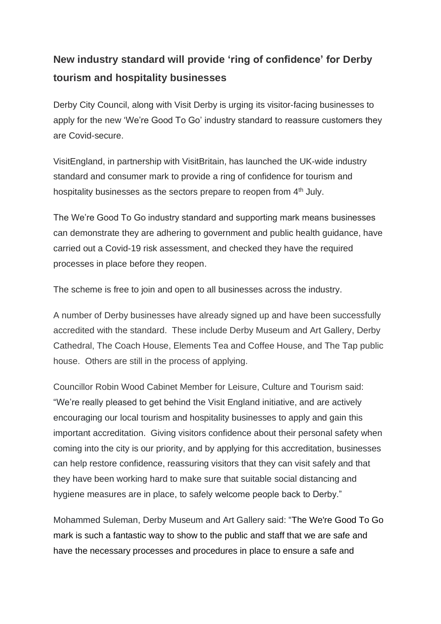## **New industry standard will provide 'ring of confidence' for Derby tourism and hospitality businesses**

Derby City Council, along with Visit Derby is urging its visitor-facing businesses to apply for the new 'We're Good To Go' industry standard to reassure customers they are Covid-secure.

VisitEngland, in partnership with VisitBritain, has launched the UK-wide industry standard and consumer mark to provide a ring of confidence for tourism and hospitality businesses as the sectors prepare to reopen from 4<sup>th</sup> July.

The We're Good To Go industry standard and supporting mark means businesses can demonstrate they are adhering to government and public health guidance, have carried out a Covid-19 risk assessment, and checked they have the required processes in place before they reopen.

The scheme is free to join and open to all businesses across the industry.

A number of Derby businesses have already signed up and have been successfully accredited with the standard. These include Derby Museum and Art Gallery, Derby Cathedral, The Coach House, Elements Tea and Coffee House, and The Tap public house. Others are still in the process of applying.

Councillor Robin Wood Cabinet Member for Leisure, Culture and Tourism said: "We're really pleased to get behind the Visit England initiative, and are actively encouraging our local tourism and hospitality businesses to apply and gain this important accreditation. Giving visitors confidence about their personal safety when coming into the city is our priority, and by applying for this accreditation, businesses can help restore confidence, reassuring visitors that they can visit safely and that they have been working hard to make sure that suitable social distancing and hygiene measures are in place, to safely welcome people back to Derby."

Mohammed Suleman, Derby Museum and Art Gallery said: "The We're Good To Go mark is such a fantastic way to show to the public and staff that we are safe and have the necessary processes and procedures in place to ensure a safe and